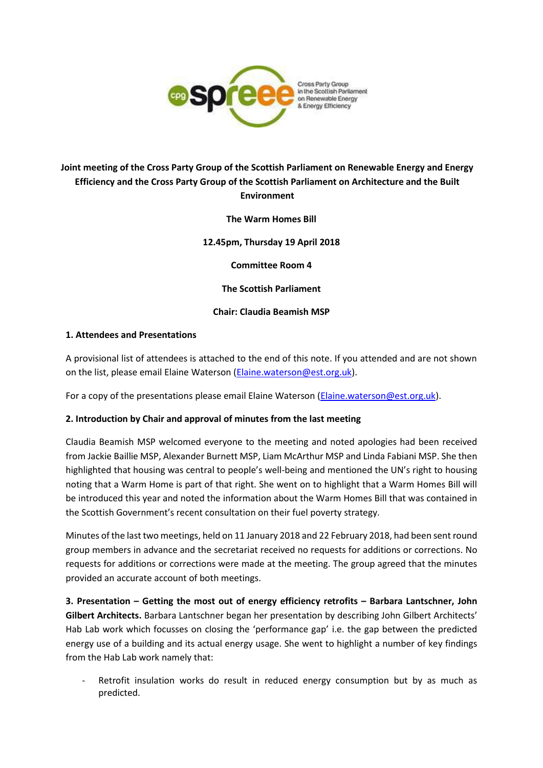

# **Joint meeting of the Cross Party Group of the Scottish Parliament on Renewable Energy and Energy Efficiency and the Cross Party Group of the Scottish Parliament on Architecture and the Built Environment**

**The Warm Homes Bill**

**12.45pm, Thursday 19 April 2018**

**Committee Room 4**

**The Scottish Parliament**

**Chair: Claudia Beamish MSP**

#### **1. Attendees and Presentations**

A provisional list of attendees is attached to the end of this note. If you attended and are not shown on the list, please email Elaine Waterson [\(Elaine.waterson@est.org.uk\)](mailto:Elaine.waterson@est.org.uk).

For a copy of the presentations please email Elaine Waterson [\(Elaine.waterson@est.org.uk\)](mailto:Elaine.waterson@est.org.uk).

#### **2. Introduction by Chair and approval of minutes from the last meeting**

Claudia Beamish MSP welcomed everyone to the meeting and noted apologies had been received from Jackie Baillie MSP, Alexander Burnett MSP, Liam McArthur MSP and Linda Fabiani MSP. She then highlighted that housing was central to people's well-being and mentioned the UN's right to housing noting that a Warm Home is part of that right. She went on to highlight that a Warm Homes Bill will be introduced this year and noted the information about the Warm Homes Bill that was contained in the Scottish Government's recent consultation on their fuel poverty strategy.

Minutes of the last two meetings, held on 11 January 2018 and 22 February 2018, had been sent round group members in advance and the secretariat received no requests for additions or corrections. No requests for additions or corrections were made at the meeting. The group agreed that the minutes provided an accurate account of both meetings.

**3. Presentation – Getting the most out of energy efficiency retrofits – Barbara Lantschner, John Gilbert Architects.** Barbara Lantschner began her presentation by describing John Gilbert Architects' Hab Lab work which focusses on closing the 'performance gap' i.e. the gap between the predicted energy use of a building and its actual energy usage. She went to highlight a number of key findings from the Hab Lab work namely that:

Retrofit insulation works do result in reduced energy consumption but by as much as predicted.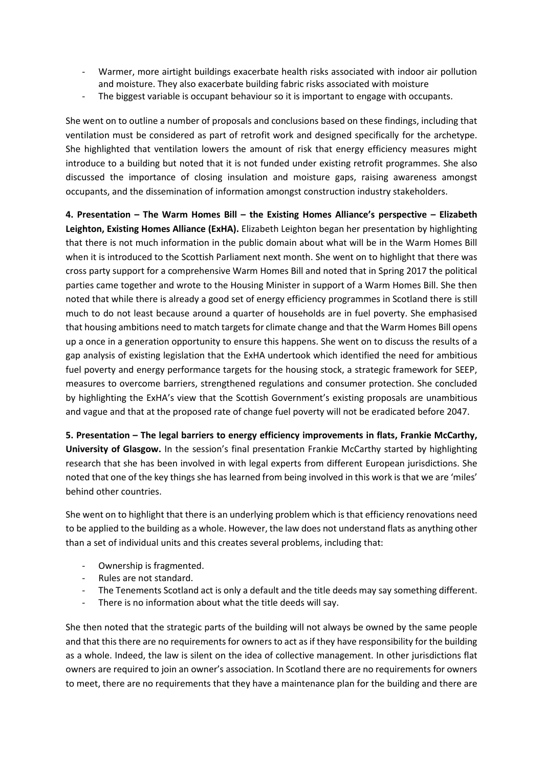- Warmer, more airtight buildings exacerbate health risks associated with indoor air pollution and moisture. They also exacerbate building fabric risks associated with moisture
- The biggest variable is occupant behaviour so it is important to engage with occupants.

She went on to outline a number of proposals and conclusions based on these findings, including that ventilation must be considered as part of retrofit work and designed specifically for the archetype. She highlighted that ventilation lowers the amount of risk that energy efficiency measures might introduce to a building but noted that it is not funded under existing retrofit programmes. She also discussed the importance of closing insulation and moisture gaps, raising awareness amongst occupants, and the dissemination of information amongst construction industry stakeholders.

**4. Presentation – The Warm Homes Bill – the Existing Homes Alliance's perspective – Elizabeth Leighton, Existing Homes Alliance (ExHA).** Elizabeth Leighton began her presentation by highlighting that there is not much information in the public domain about what will be in the Warm Homes Bill when it is introduced to the Scottish Parliament next month. She went on to highlight that there was cross party support for a comprehensive Warm Homes Bill and noted that in Spring 2017 the political parties came together and wrote to the Housing Minister in support of a Warm Homes Bill. She then noted that while there is already a good set of energy efficiency programmes in Scotland there is still much to do not least because around a quarter of households are in fuel poverty. She emphasised that housing ambitions need to match targets for climate change and that the Warm Homes Bill opens up a once in a generation opportunity to ensure this happens. She went on to discuss the results of a gap analysis of existing legislation that the ExHA undertook which identified the need for ambitious fuel poverty and energy performance targets for the housing stock, a strategic framework for SEEP, measures to overcome barriers, strengthened regulations and consumer protection. She concluded by highlighting the ExHA's view that the Scottish Government's existing proposals are unambitious and vague and that at the proposed rate of change fuel poverty will not be eradicated before 2047.

**5. Presentation – The legal barriers to energy efficiency improvements in flats, Frankie McCarthy, University of Glasgow.** In the session's final presentation Frankie McCarthy started by highlighting research that she has been involved in with legal experts from different European jurisdictions. She noted that one of the key things she has learned from being involved in this work is that we are 'miles' behind other countries.

She went on to highlight that there is an underlying problem which is that efficiency renovations need to be applied to the building as a whole. However, the law does not understand flats as anything other than a set of individual units and this creates several problems, including that:

- Ownership is fragmented.
- Rules are not standard.
- The Tenements Scotland act is only a default and the title deeds may say something different.
- There is no information about what the title deeds will say.

She then noted that the strategic parts of the building will not always be owned by the same people and that this there are no requirements for owners to act as if they have responsibility for the building as a whole. Indeed, the law is silent on the idea of collective management. In other jurisdictions flat owners are required to join an owner's association. In Scotland there are no requirements for owners to meet, there are no requirements that they have a maintenance plan for the building and there are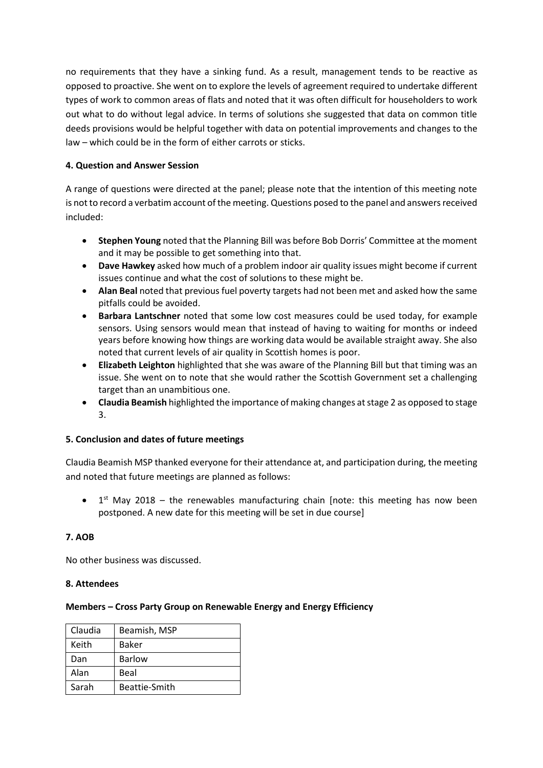no requirements that they have a sinking fund. As a result, management tends to be reactive as opposed to proactive. She went on to explore the levels of agreement required to undertake different types of work to common areas of flats and noted that it was often difficult for householders to work out what to do without legal advice. In terms of solutions she suggested that data on common title deeds provisions would be helpful together with data on potential improvements and changes to the law – which could be in the form of either carrots or sticks.

## **4. Question and Answer Session**

A range of questions were directed at the panel; please note that the intention of this meeting note is not to record a verbatim account of the meeting. Questions posed to the panel and answers received included:

- **Stephen Young** noted that the Planning Bill was before Bob Dorris' Committee at the moment and it may be possible to get something into that.
- **Dave Hawkey** asked how much of a problem indoor air quality issues might become if current issues continue and what the cost of solutions to these might be.
- **Alan Beal** noted that previous fuel poverty targets had not been met and asked how the same pitfalls could be avoided.
- **Barbara Lantschner** noted that some low cost measures could be used today, for example sensors. Using sensors would mean that instead of having to waiting for months or indeed years before knowing how things are working data would be available straight away. She also noted that current levels of air quality in Scottish homes is poor.
- **Elizabeth Leighton** highlighted that she was aware of the Planning Bill but that timing was an issue. She went on to note that she would rather the Scottish Government set a challenging target than an unambitious one.
- **Claudia Beamish** highlighted the importance of making changes at stage 2 as opposed to stage 3.

### **5. Conclusion and dates of future meetings**

Claudia Beamish MSP thanked everyone for their attendance at, and participation during, the meeting and noted that future meetings are planned as follows:

 $\bullet$  1<sup>st</sup> May 2018 – the renewables manufacturing chain [note: this meeting has now been postponed. A new date for this meeting will be set in due course]

### **7. AOB**

No other business was discussed.

### **8. Attendees**

### **Members – Cross Party Group on Renewable Energy and Energy Efficiency**

| Claudia | Beamish, MSP  |
|---------|---------------|
| Keith   | Baker         |
| Dan     | <b>Barlow</b> |
| Alan    | Beal          |
| Sarah   | Beattie-Smith |